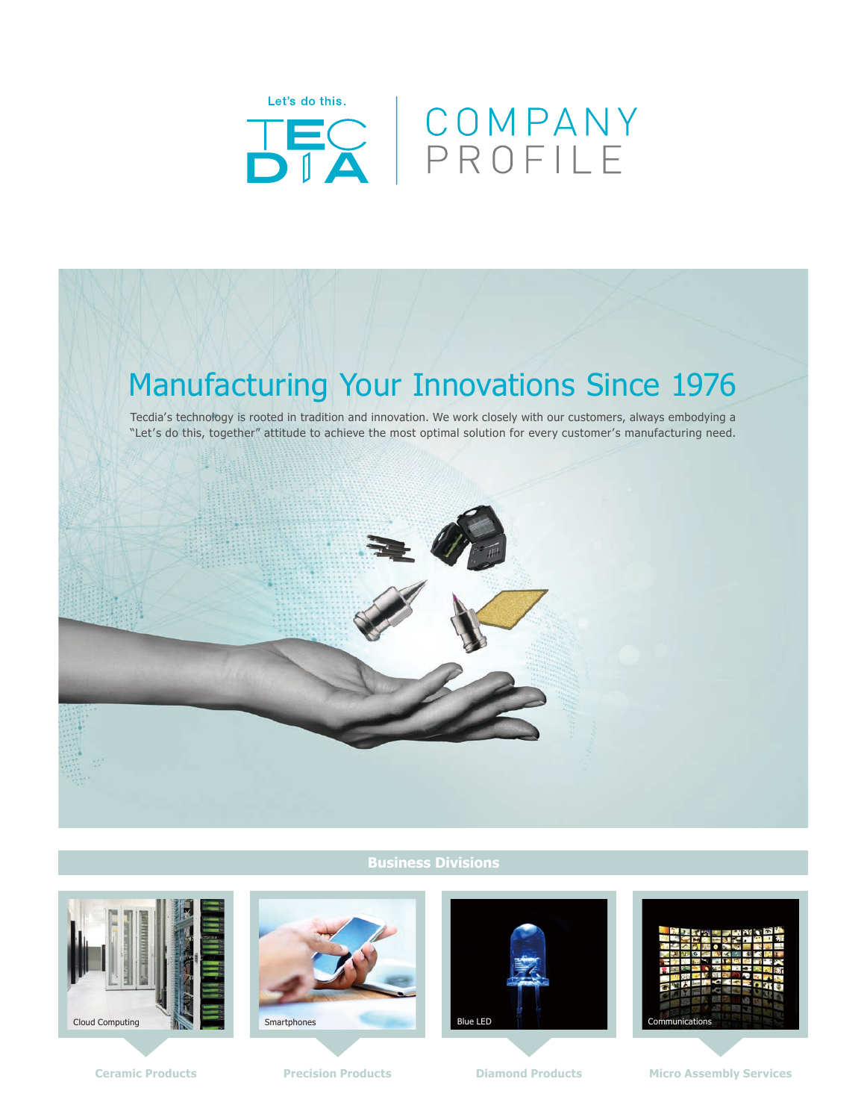



## **Business Divisions**







**Ceramic Products Precision Products Products Products Products Products Products Products Products Products Products Products Products Products Products Products Products Products Produ**